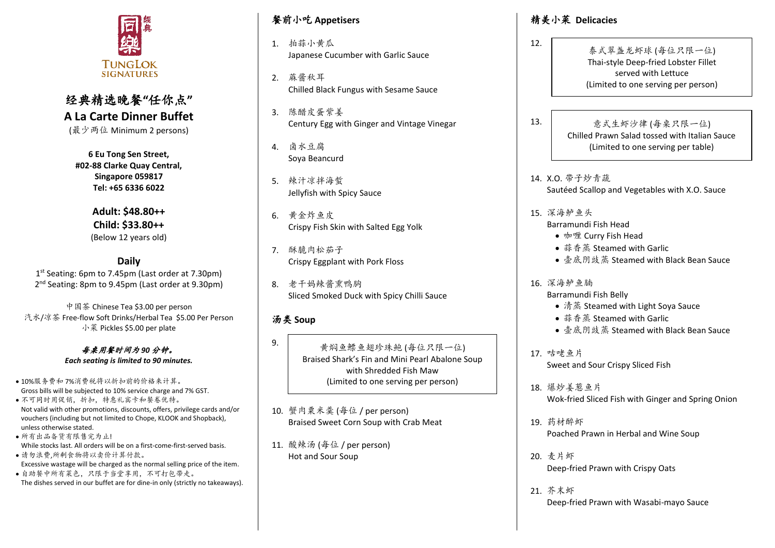

# 经典精选晚餐**"**任你点**" A La Carte Dinner Buffet**

(最少两位 Minimum 2 persons)

**6 Eu Tong Sen Street, #02-88 Clarke Quay Central, Singapore 059817 Tel: +65 6336 6022**

> **Adult: \$48.80++ Child: \$33.80++**  (Below 12 years old)

# **Daily**

1 st Seating: 6pm to 7.45pm (Last order at 7.30pm) 2<sup>nd</sup> Seating: 8pm to 9.45pm (Last order at 9.30pm)

中国茶 Chinese Tea \$3.00 per person 汽水/凉茶 Free-flow Soft Drinks/Herbal Tea \$5.00 Per Person 小菜 Pickles \$5.00 per plate

> 每桌用餐时间为 *90* 分钟。 *Each seating is limited to 90 minutes.*

- 10%服务费和 7%消费税将以折扣前的价格来计算。 Gross bills will be subjected to 10% service charge and 7% GST. • 不可同时用促销,折扣,特惠礼宾卡和餐卷优特。 Not valid with other promotions, discounts, offers, privilege cards and/or vouchers (including but not limited to Chope, KLOOK and Shopback),
- unless otherwise stated. • 所有出品备货有限售完为止!
- While stocks last. All orders will be on a first-come-first-served basis. • 请勿浪费,所剩食物将以卖价计算付款。
- Excessive wastage will be charged as the normal selling price of the item.
- 自助餐中所有菜色,只限于当堂享用,不可打包带走。 The dishes served in our buffet are for dine-in only (strictly no takeaways).

## 餐前小吃 **Appetisers**

- 1. 拍蒜小黄瓜 Japanese Cucumber with Garlic Sauce
- 2. 蔴酱秋耳 Chilled Black Fungus with Sesame Sauce
- 3. 陈醋皮蛋紫姜 Century Egg with Ginger and Vintage Vinegar
- 4. 卤水豆腐 Soya Beancurd
- 5. 辣汁凉拌海蜇 Jellyfish with Spicy Sauce
- 6. 黄金炸鱼皮 Crispy Fish Skin with Salted Egg Yolk
- 7. 酥脆肉松茄子 Crispy Eggplant with Pork Floss
- 8. 老干妈辣酱熏鸭胸 Sliced Smoked Duck with Spicy Chilli Sauce

# 汤类 **Soup**

9.

黄焖鱼鳔鱼翅珍珠鲍 (每位只限一位) Braised Shark's Fin and Mini Pearl Abalone Soup with Shredded Fish Maw (Limited to one serving per person)

- 10. 蟹肉粟米羹 (每位 / per person) Braised Sweet Corn Soup with Crab Meat
- 11. 酸辣汤 (每位 / per person) Hot and Sour Soup

# 精美小菜 **Delicacies**

- 泰式翠盏龙虾球 (每位只限一位) Thai-style Deep-fried Lobster Fillet served with Lettuce (Limited to one serving per person)
- 13.

12.

#### 意式生虾沙律 (每桌只限一位) Chilled Prawn Salad tossed with Italian Sauce (Limited to one serving per table)

- 14. X.O. 带子炒青蔬 Sautéed Scallop and Vegetables with X.O. Sauce
- 15. 深海鲈鱼头
	- Barramundi Fish Head
	- 咖喱 Curry Fish Head
	- 蒜香蒸 Steamed with Garlic
	- 壶底阴豉蒸 Steamed with Black Bean Sauce
- 16. 深海鲈鱼腩 Barramundi Fish Belly
	- 清蒸 Steamed with Light Soya Sauce
	- 蒜香蒸 Steamed with Garlic
	- 壶底阴豉蒸 Steamed with Black Bean Sauce
- 17. 咕咾鱼片 Sweet and Sour Crispy Sliced Fish
- 18. 爆炒姜葱鱼片 Wok-fried Sliced Fish with Ginger and Spring Onion
- 19. 药材醉虾 Poached Prawn in Herbal and Wine Soup
- 20. 麦片虾 Deep-fried Prawn with Crispy Oats
- 21. 芥末虾 Deep-fried Prawn with Wasabi-mayo Sauce